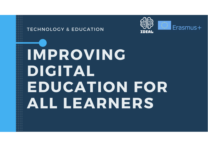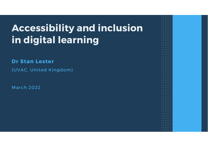## **Accessibility and inclusionin digital learning**

**Dr Stan Lester**

(UVAC, United Kingdom)

March 2022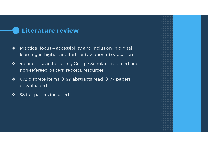#### **Literature review**

- $\frac{1}{2}$  Practical focus – accessibility and inclusion in digital learning in higher and further (vocational) education
- $\frac{1}{2}$  4 parallel searches using Google Scholar – refereed and non-refereed papers, reports, resources
- $\frac{1}{2}$ ❖ 672 discrete items  $\rightarrow$  99 abstracts read  $\rightarrow$  77 papers downloaded
- $\frac{1}{2}$ 38 full papers included.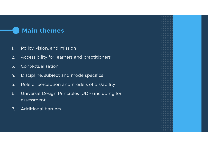#### **Main themes**

- 1. Policy, vision, and mission
- 2. Accessibility for learners and practitioners
- 3. Contextualisation
- 4. Discipline, subject and mode specifics
- 5. Role of perception and models of dis/ability
- 6. Universal Design Principles (UDP) including for assessment
- 7. Additional barriers

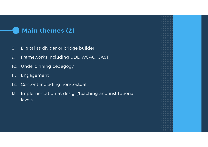# **Main themes (2)**8. Digital as divider or bridge builder 9. Frameworks including UDL, WCAG, CAST 10. Underpinning pedagogy11. Engagement 12. Content including non-textual 13. Implementation at design/teaching and institutional levels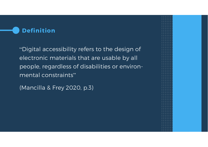#### **Definition**

"Digital accessibility refers to the design of electronic materials that are usable by all people, regardless of disabilities or environmental constraints"

(Mancilla & Frey 2020, p.3)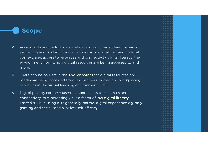#### **Scope**

- $\mathbf{v}_\mathrm{a}^\mathrm{b}$  Accessibility and inclusion can relate to disabilities, different ways of perceiving and working, gender, economic social ethnic and cultural context, age, access to resources and connectivity, digital literacy, the environment from which digital resources are being accessed … and<br>……… more.
- $\frac{1}{2}$ There can be barriers in the environment that digital resources and media are being accessed from (e.g. learners' homes and workplaces) as well as in the virtual learning environment itself.
- $\frac{1}{2}$  Digital poverty can be caused by poor access to resources and connectivity, but increasingly it is a factor of low digital literacy –limited skills in using ICTs generally, narrow digital experience e.g. only gaming and social media, or low self-efficacy.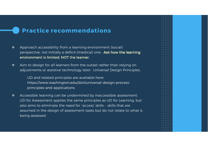#### **Practice recommendations**

- $\bullet^{\bullet}_{\mathcal{A}}\bullet$  Approach accessibility from a learning environment (social) perspective, not initially a deficit (medical) one. **Ask how the learning** environment is limited, NOT the learner.
- $\frac{1}{2}$  Aim to design for all learners from the outset rather than relying on adjustments or assistive technology later: Universal Design Principles.

UD and related principles are available here: https://www.washington.edu/doit/universal-design-processprinciples-and-applications

 $\bullet^{\bullet}_{\bullet} \bullet$  Accessible learning can be undermined by inaccessible assessment: UD for Assessment applies the same principles as UD for Learning, but also aims to eliminate the need for 'access' skills – skills that are assumed in the design of assessment tasks but do not relate to what is being assessed.

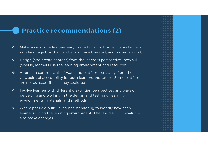#### **Practice recommendations (2)**

- $\bullet^{\bullet}_{\mathcal{A}}\bullet$  Make accessibility features easy to use but unobtrusive: for instance, a sign language box that can be minimised, resized, and moved around.
- $\frac{1}{2}$  Design (and create content) from the learner's perspective: how will (diverse) learners use the learning environment and resources?
- $\frac{1}{2}$  Approach commercial software and platforms critically, from the viewpoint of accessibility for both learners and tutors. Some platforms are not as accessible as they could be.
- $\frac{1}{2}$  Involve learners with different disabilities, perspectives and ways of perceiving and working in the design and testing of learning environments, materials, and methods.
- $\frac{1}{2}$  Where possible build in learner monitoring to identify how each learner is using the learning environment. Use the results to evaluate and make changes.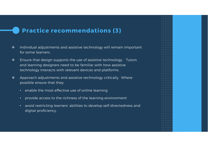#### **Practice recommendations (3)**

- $\mathbf{v}_\mathrm{a}^\mathrm{b}$  Individual adjustments and assistive technology will remain important for some learners.
- $\frac{1}{2}$  Ensure that design supports the use of assistive technology. Tutors and learning designers need to be familiar with how assistive technology interacts with relevant devices and platforms.
- $\frac{1}{2}$  Approach adjustments and assistive technology critically. Where possible ensure that they:
	- enable the most effective use of online learning
	- provide access to the richness of the learning environment
	- avoid restricting learners' abilities to develop self-directedness and digital proficiency.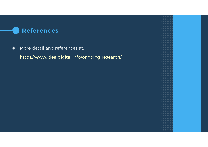#### **References**

 $\frac{1}{2}$ More detail and references at:

https://www.idealdigital.info/ongoing-research/